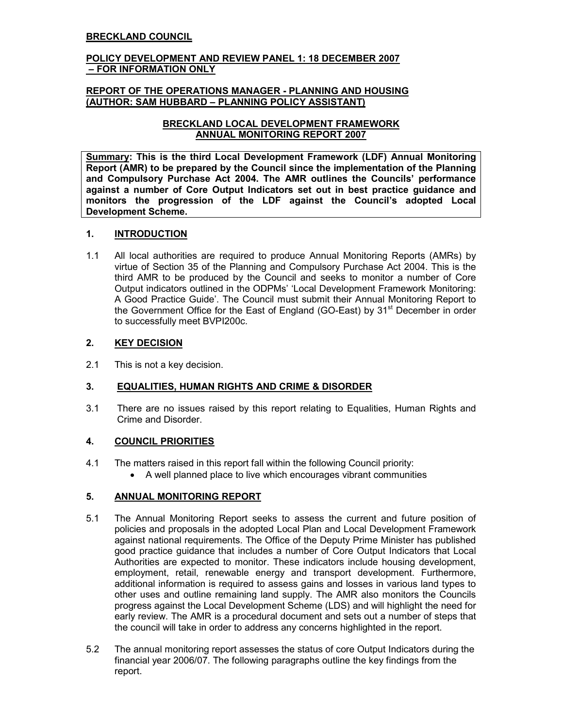#### BRECKLAND COUNCIL

#### POLICY DEVELOPMENT AND REVIEW PANEL 1: 18 DECEMBER 2007 – FOR INFORMATION ONLY

#### REPORT OF THE OPERATIONS MANAGER - PLANNING AND HOUSING (AUTHOR: SAM HUBBARD – PLANNING POLICY ASSISTANT)

# BRECKLAND LOCAL DEVELOPMENT FRAMEWORK ANNUAL MONITORING REPORT 2007

Summary: This is the third Local Development Framework (LDF) Annual Monitoring Report (AMR) to be prepared by the Council since the implementation of the Planning and Compulsory Purchase Act 2004. The AMR outlines the Councils' performance against a number of Core Output Indicators set out in best practice guidance and monitors the progression of the LDF against the Council's adopted Local Development Scheme.

# 1. INTRODUCTION

1.1 All local authorities are required to produce Annual Monitoring Reports (AMRs) by virtue of Section 35 of the Planning and Compulsory Purchase Act 2004. This is the third AMR to be produced by the Council and seeks to monitor a number of Core Output indicators outlined in the ODPMs' 'Local Development Framework Monitoring: A Good Practice Guide'. The Council must submit their Annual Monitoring Report to the Government Office for the East of England (GO-East) by 31<sup>st</sup> December in order to successfully meet BVPI200c.

#### 2. KEY DECISION

2.1 This is not a key decision.

# 3. EQUALITIES, HUMAN RIGHTS AND CRIME & DISORDER

3.1 There are no issues raised by this report relating to Equalities, Human Rights and Crime and Disorder.

# 4. COUNCIL PRIORITIES

- 4.1 The matters raised in this report fall within the following Council priority:
	- A well planned place to live which encourages vibrant communities

# 5. ANNUAL MONITORING REPORT

- 5.1 The Annual Monitoring Report seeks to assess the current and future position of policies and proposals in the adopted Local Plan and Local Development Framework against national requirements. The Office of the Deputy Prime Minister has published good practice guidance that includes a number of Core Output Indicators that Local Authorities are expected to monitor. These indicators include housing development, employment, retail, renewable energy and transport development. Furthermore, additional information is required to assess gains and losses in various land types to other uses and outline remaining land supply. The AMR also monitors the Councils progress against the Local Development Scheme (LDS) and will highlight the need for early review. The AMR is a procedural document and sets out a number of steps that the council will take in order to address any concerns highlighted in the report.
- 5.2 The annual monitoring report assesses the status of core Output Indicators during the financial year 2006/07. The following paragraphs outline the key findings from the report.